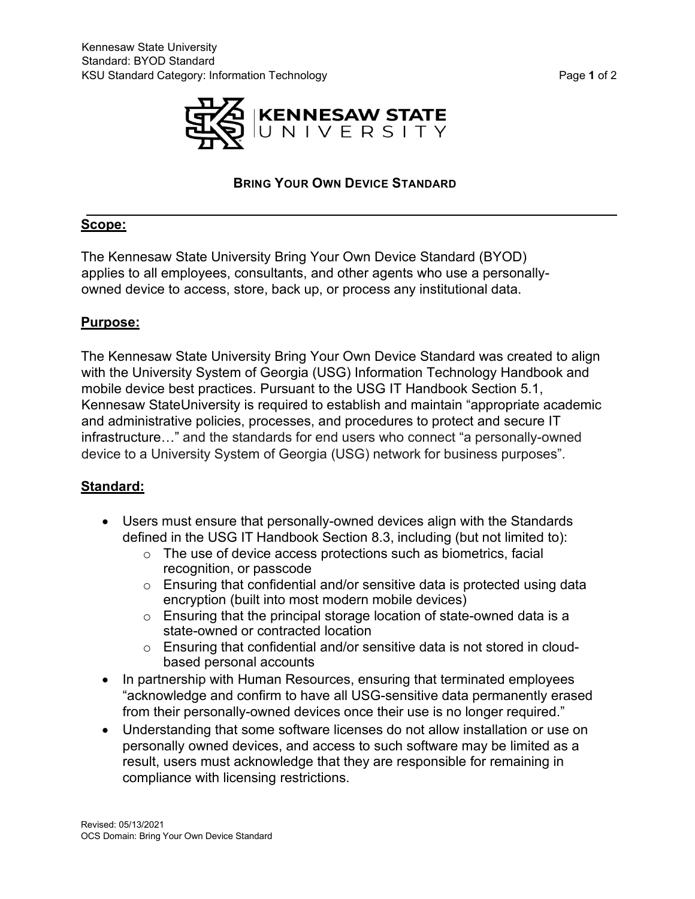



# **BRING YOUR OWN DEVICE STANDARD**

## **Scope:**

The Kennesaw State University Bring Your Own Device Standard (BYOD) applies to all employees, consultants, and other agents who use a personallyowned device to access, store, back up, or process any institutional data.

## **Purpose:**

The Kennesaw State University Bring Your Own Device Standard was created to align with the University System of Georgia (USG) Information Technology Handbook and mobile device best practices. Pursuant to the USG IT Handbook Section 5.1, Kennesaw StateUniversity is required to establish and maintain "appropriate academic and administrative policies, processes, and procedures to protect and secure IT infrastructure…" and the standards for end users who connect "a personally-owned device to a University System of Georgia (USG) network for business purposes".

## **Standard:**

- Users must ensure that personally-owned devices align with the Standards defined in the USG IT Handbook Section 8.3, including (but not limited to):
	- o The use of device access protections such as biometrics, facial recognition, or passcode
	- $\circ$  Ensuring that confidential and/or sensitive data is protected using data encryption (built into most modern mobile devices)
	- $\circ$  Ensuring that the principal storage location of state-owned data is a state-owned or contracted location
	- o Ensuring that confidential and/or sensitive data is not stored in cloudbased personal accounts
- In partnership with Human Resources, ensuring that terminated employees "acknowledge and confirm to have all USG-sensitive data permanently erased from their personally-owned devices once their use is no longer required."
- Understanding that some software licenses do not allow installation or use on personally owned devices, and access to such software may be limited as a result, users must acknowledge that they are responsible for remaining in compliance with licensing restrictions.